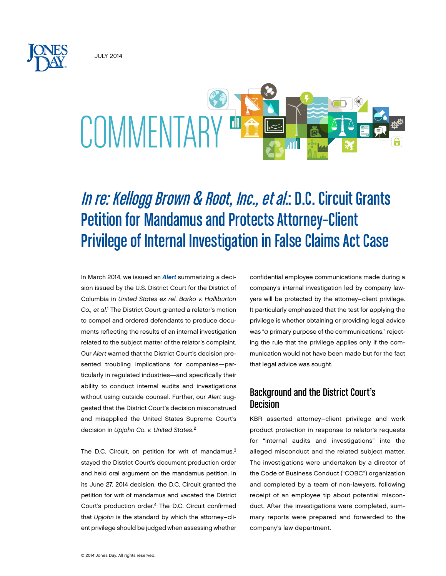JuLY 2014



# In re: Kellogg Brown & Root, Inc., et al.: D.C. Circuit Grants Petition for Mandamus and Protects Attorney–Client Privilege of Internal Investigation in False Claims Act Case

In March 2014, we issued an *[Alert](http://www.jonesday.com/recent-order-from-dc-district-court-forces-defendants-03-19-2014/)* summarizing a decision issued by the U.S. District Court for the District of Columbia in *United States ex rel. Barko v. Halliburton*  Co., et al.<sup>1</sup> The District Court granted a relator's motion to compel and ordered defendants to produce documents reflecting the results of an internal investigation related to the subject matter of the relator's complaint. Our *Alert* warned that the District Court's decision presented troubling implications for companies—particularly in regulated industries—and specifically their ability to conduct internal audits and investigations without using outside counsel. Further, our *Alert* suggested that the District Court's decision misconstrued and misapplied the United States Supreme Court's decision in *Upjohn Co. v. United States*. 2

The D.C. Circuit, on petition for writ of mandamus,<sup>3</sup> stayed the District Court's document production order and held oral argument on the mandamus petition. In its June 27, 2014 decision, the D.C. Circuit granted the petition for writ of mandamus and vacated the District Court's production order.4 The D.C. Circuit confirmed that *Upjohn* is the standard by which the attorney–client privilege should be judged when assessing whether

confidential employee communications made during a company's internal investigation led by company lawyers will be protected by the attorney–client privilege. It particularly emphasized that the test for applying the privilege is whether obtaining or providing legal advice was "*a* primary purpose of the communications," rejecting the rule that the privilege applies only if the communication would not have been made but for the fact that legal advice was sought.

## Background and the District Court's **Decision**

KBR asserted attorney–client privilege and work product protection in response to relator's requests for "internal audits and investigations" into the alleged misconduct and the related subject matter. The investigations were undertaken by a director of the Code of Business Conduct ("COBC") organization and completed by a team of non-lawyers, following receipt of an employee tip about potential misconduct. After the investigations were completed, summary reports were prepared and forwarded to the company's law department.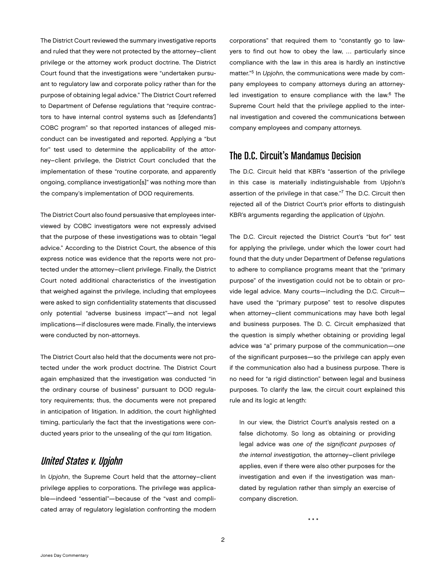The District Court reviewed the summary investigative reports and ruled that they were not protected by the attorney–client privilege or the attorney work product doctrine. The District Court found that the investigations were "undertaken pursuant to regulatory law and corporate policy rather than for the purpose of obtaining legal advice." The District Court referred to Department of Defense regulations that "require contractors to have internal control systems such as [defendants'] COBC program" so that reported instances of alleged misconduct can be investigated and reported. Applying a "but for" test used to determine the applicability of the attorney–client privilege, the District Court concluded that the implementation of these "routine corporate, and apparently ongoing, compliance investigation[s]" was nothing more than the company's implementation of DOD requirements.

The District Court also found persuasive that employees interviewed by COBC investigators were not expressly advised that the purpose of these investigations was to obtain "legal advice." According to the District Court, the absence of this express notice was evidence that the reports were not protected under the attorney–client privilege. Finally, the District Court noted additional characteristics of the investigation that weighed against the privilege, including that employees were asked to sign confidentiality statements that discussed only potential "adverse business impact"—and not legal implications—if disclosures were made. Finally, the interviews were conducted by non-attorneys.

The District Court also held that the documents were not protected under the work product doctrine. The District Court again emphasized that the investigation was conducted "in the ordinary course of business" pursuant to DOD regulatory requirements; thus, the documents were not prepared in anticipation of litigation. In addition, the court highlighted timing, particularly the fact that the investigations were conducted years prior to the unsealing of the *qui tam* litigation.

## United States v. Upjohn

In *Upjohn*, the Supreme Court held that the attorney–client privilege applies to corporations. The privilege was applicable—indeed "essential"—because of the "vast and complicated array of regulatory legislation confronting the modern corporations" that required them to "constantly go to lawyers to find out how to obey the law, … particularly since compliance with the law in this area is hardly an instinctive matter."5 In *Upjohn*, the communications were made by company employees to company attorneys during an attorneyled investigation to ensure compliance with the law.<sup>6</sup> The Supreme Court held that the privilege applied to the internal investigation and covered the communications between company employees and company attorneys.

## The D.C. Circuit's Mandamus Decision

The D.C. Circuit held that KBR's "assertion of the privilege in this case is materially indistinguishable from Upjohn's assertion of the privilege in that case."7 The D.C. Circuit then rejected all of the District Court's prior efforts to distinguish KBR's arguments regarding the application of *Upjohn*.

The D.C. Circuit rejected the District Court's "but for" test for applying the privilege, under which the lower court had found that the duty under Department of Defense regulations to adhere to compliance programs meant that the "primary purpose" of the investigation could not be to obtain or provide legal advice. Many courts—including the D.C. Circuit have used the "primary purpose" test to resolve disputes when attorney–client communications may have both legal and business purposes. The D. C. Circuit emphasized that the question is simply whether obtaining or providing legal advice was "a" primary purpose of the communication—*one* of the significant purposes—so the privilege can apply even if the communication also had a business purpose. There is no need for "a rigid distinction" between legal and business purposes. To clarify the law, the circuit court explained this rule and its logic at length:

In our view, the District Court's analysis rested on a false dichotomy. So long as obtaining or providing legal advice was *one of the significant purposes of the internal investigation,* the attorney–client privilege applies, even if there were also other purposes for the investigation and even if the investigation was mandated by regulation rather than simply an exercise of company discretion.

\* \* \*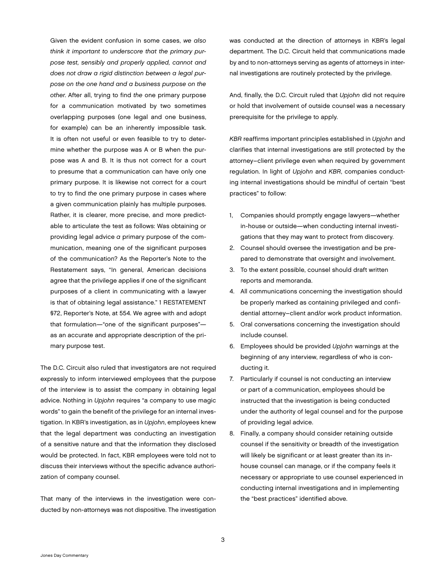Given the evident confusion in some cases, *we also think it important to underscore that the primary purpose test, sensibly and properly applied, cannot and does not draw a rigid distinction between a legal purpose on the one hand and a business purpose on the other*. After all, trying to find *the* one primary purpose for a communication motivated by two sometimes overlapping purposes (one legal and one business, for example) can be an inherently impossible task. It is often not useful or even feasible to try to determine whether the purpose was A or B when the purpose was A and B. It is thus not correct for a court to presume that a communication can have only one primary purpose. It is likewise not correct for a court to try to find *the* one primary purpose in cases where a given communication plainly has multiple purposes. Rather, it is clearer, more precise, and more predictable to articulate the test as follows: Was obtaining or providing legal advice *a* primary purpose of the communication, meaning one of the significant purposes of the communication? As the Reporter's Note to the Restatement says, "In general, American decisions agree that the privilege applies if one of the significant purposes of a client in communicating with a lawyer is that of obtaining legal assistance." 1 RESTATEMENT §72, Reporter's Note, at 554. We agree with and adopt that formulation—"one of the significant purposes" as an accurate and appropriate description of the primary purpose test.

The D.C. Circuit also ruled that investigators are not required expressly to inform interviewed employees that the purpose of the interview is to assist the company in obtaining legal advice. Nothing in *Upjohn* requires "a company to use magic words" to gain the benefit of the privilege for an internal investigation. In KBR's investigation, as in *Upjohn*, employees knew that the legal department was conducting an investigation of a sensitive nature and that the information they disclosed would be protected. In fact, KBR employees were told not to discuss their interviews without the specific advance authorization of company counsel.

That many of the interviews in the investigation were conducted by non-attorneys was not dispositive. The investigation was conducted at the direction of attorneys in KBR's legal department. The D.C. Circuit held that communications made by and to non-attorneys serving as agents of attorneys in internal investigations are routinely protected by the privilege.

And, finally, the D.C. Circuit ruled that *Upjohn* did not require or hold that involvement of outside counsel was a necessary prerequisite for the privilege to apply.

*KBR* reaffirms important principles established in *Upjohn* and clarifies that internal investigations are still protected by the attorney–client privilege even when required by government regulation. In light of *Upjohn* and *KBR*, companies conducting internal investigations should be mindful of certain "best practices" to follow:

- 1, Companies should promptly engage lawyers—whether in-house or outside—when conducting internal investigations that they may want to protect from discovery.
- 2. Counsel should oversee the investigation and be prepared to demonstrate that oversight and involvement.
- 3. To the extent possible, counsel should draft written reports and memoranda.
- 4. All communications concerning the investigation should be properly marked as containing privileged and confidential attorney–client and/or work product information.
- 5. Oral conversations concerning the investigation should include counsel.
- 6. Employees should be provided *Upjohn* warnings at the beginning of any interview, regardless of who is conducting it.
- 7. Particularly if counsel is not conducting an interview or part of a communication, employees should be instructed that the investigation is being conducted under the authority of legal counsel and for the purpose of providing legal advice.
- 8. Finally, a company should consider retaining outside counsel if the sensitivity or breadth of the investigation will likely be significant or at least greater than its inhouse counsel can manage, or if the company feels it necessary or appropriate to use counsel experienced in conducting internal investigations and in implementing the "best practices" identified above.